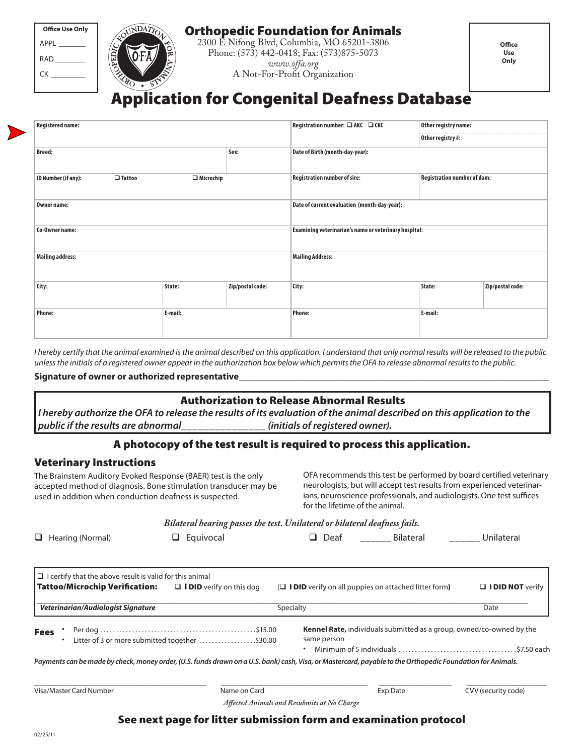Orthopedic Foundation for Animals

2300 E Nifong Blvd, Columbia, MO 65201-3806 Phone: (573) 442-0418; Fax: (573)875-5073 *www.offa.org* A Not-For-Profit Organization

# Application for Congenital Deafness Database

| <b>Registered name:</b>              |                  |                  | Registration number: $\Box$ AKC $\Box$ CKC<br>Other registry name: |                                    |                  |  |  |
|--------------------------------------|------------------|------------------|--------------------------------------------------------------------|------------------------------------|------------------|--|--|
|                                      |                  |                  | Other registry #:                                                  |                                    |                  |  |  |
| <b>Breed:</b>                        |                  | Sex:             | Date of Birth (month-day-year):                                    |                                    |                  |  |  |
| ID Number (if any):<br>$\Box$ Tattoo | $\Box$ Microchip |                  | <b>Registration number of sire:</b>                                | <b>Registration number of dam:</b> |                  |  |  |
| Owner name:                          |                  |                  | Date of current evaluation (month-day-year):                       |                                    |                  |  |  |
| Co-Owner name:                       |                  |                  | Examining veterinarian's name or veterinary hospital:              |                                    |                  |  |  |
| <b>Mailing address:</b>              |                  |                  | <b>Mailing Address:</b>                                            |                                    |                  |  |  |
| City:                                | State:           | Zip/postal code: | City:                                                              | State:                             | Zip/postal code: |  |  |
| <b>Phone:</b>                        | E-mail:          |                  | <b>Phone:</b>                                                      | E-mail:                            |                  |  |  |

*I hereby certify that the animal examined is the animal described on this application. I understand that only normal results will be released to the public unless the initials of a registered owner appear in the authorization box below which permits the OFA to release abnormal results to the public.*

**Signature of owner or authorized representative**\_\_\_\_\_\_\_\_\_\_\_\_\_\_\_\_\_\_\_\_\_\_\_\_\_\_\_\_\_\_\_\_\_\_\_\_\_\_\_\_\_\_\_\_\_\_\_\_\_\_\_\_\_\_\_\_\_\_\_\_\_\_\_\_\_

 $\widehat{\mathcal{A}}$ DA $\widehat{T}$ 

#### Authorization to Release Abnormal Results

*I hereby authorize the OFA to release the results of its evaluation of the animal described on this application to the public if the results are abnormal\_\_\_\_\_\_\_\_\_\_\_\_\_\_\_ (initials of registered owner).*

#### A photocopy of the test result is required to process this application.

#### Veterinary Instructions

APPL \_\_\_\_\_\_\_ RAD\_\_\_\_\_\_\_\_  $CK$ 

**Office Use Only**

The Brainstem Auditory Evoked Response (BAER) test is the only accepted method of diagnosis. Bone stimulation transducer may be used in addition when conduction deafness is suspected.

OFA recommends this test be performed by board certified veterinary neurologists, but will accept test results from experienced veterinarians, neuroscience professionals, and audiologists. One test suffices for the lifetime of the animal.

|                                                                                                          | Bilateral bearing passes the test. Unilateral or bilateral deafness fails.                                                                                 |             |                                                                             |                       |
|----------------------------------------------------------------------------------------------------------|------------------------------------------------------------------------------------------------------------------------------------------------------------|-------------|-----------------------------------------------------------------------------|-----------------------|
| ❏<br>Hearing (Normal)                                                                                    | Equivocal                                                                                                                                                  |             | Deaf Bilateral                                                              | Unilateral            |
| $\Box$ I certify that the above result is valid for this animal<br><b>Tattoo/Microchip Verification:</b> | $\Box$ <b>I DID</b> verify on this dog                                                                                                                     |             | $(\Box$ <b>I DID</b> verify on all puppies on attached litter form)         | <b>DID NOT</b> verify |
| Veterinarian/Audiologist Signature                                                                       |                                                                                                                                                            | Specialty   |                                                                             | Date                  |
| <b>Fees</b>                                                                                              | Litter of 3 or more submitted together \$30.00                                                                                                             | same person | <b>Kennel Rate, individuals submitted as a group, owned/co-owned by the</b> |                       |
|                                                                                                          | Payments can be made by check, money order, (U.S. funds drawn on a U.S. bank) cash, Visa, or Mastercard, payable to the Orthopedic Foundation for Animals. |             |                                                                             |                       |
| Visa/Master Card Number                                                                                  | Name on Card                                                                                                                                               |             | Exp Date                                                                    | CVV (security code)   |

*Affected Animals and Resubmits at No Charge*

See next page for litter submission form and examination protocol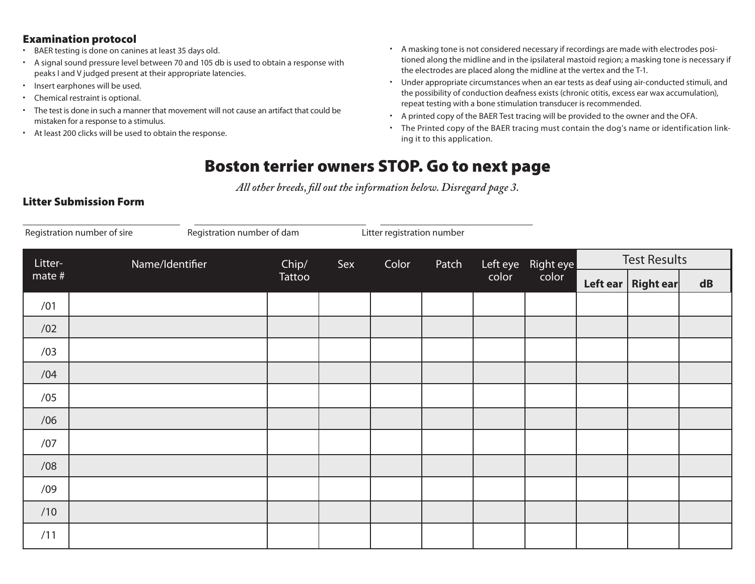#### Examination protocol

- • BAER testing is done on canines at least 35 days old.
- • A signal sound pressure level between 70 and 105 db is used to obtain a response with peaks I and V judged present at their appropriate latencies.
- • Insert earphones will be used.
- • Chemical restraint is optional.
- $\cdot$  ) The test is done in such a manner that movement will not cause an artifact that could be mistaken for a response to a stimulus.
- • At least 200 clicks will be used to obtain the response.
- • A masking tone is not considered necessary if recordings are made with electrodes positioned along the midline and in the ipsilateral mastoid region; a masking tone is necessary if the electrodes are placed along the midline at the vertex and the T-1.
- • Under appropriate circumstances when an ear tests as deaf using air-conducted stimuli, and the possibility of conduction deafness exists (chronic otitis, excess ear wax accumulation), repeat testing with a bone stimulation transducer is recommended.
- • A printed copy of the BAER Test tracing will be provided to the owner and the OFA.
- • The Printed copy of the BAER tracing must contain the dog's name or identification linking it to this application.

### Boston terrier owners STOP. Go to next page

*All other breeds, fill out the information below. Disregard page 3.*

### Litter Submission Form

| Registration number of sire |                 | Registration number of dam |        | Litter registration number |       |       |       |                             |                     |                      |               |
|-----------------------------|-----------------|----------------------------|--------|----------------------------|-------|-------|-------|-----------------------------|---------------------|----------------------|---------------|
| Litter-                     | Name/Identifier |                            | Chip/  | Sex                        | Color | Patch |       | Left eye Right eye<br>color | <b>Test Results</b> |                      |               |
| mate #                      |                 |                            | Tattoo |                            |       |       | color |                             |                     | Left ear   Right ear | $\mathbf{dB}$ |
| /01                         |                 |                            |        |                            |       |       |       |                             |                     |                      |               |
| /02                         |                 |                            |        |                            |       |       |       |                             |                     |                      |               |
| /03                         |                 |                            |        |                            |       |       |       |                             |                     |                      |               |
| /04                         |                 |                            |        |                            |       |       |       |                             |                     |                      |               |
| /05                         |                 |                            |        |                            |       |       |       |                             |                     |                      |               |
| /06                         |                 |                            |        |                            |       |       |       |                             |                     |                      |               |
| /07                         |                 |                            |        |                            |       |       |       |                             |                     |                      |               |
| /08                         |                 |                            |        |                            |       |       |       |                             |                     |                      |               |
| /09                         |                 |                            |        |                            |       |       |       |                             |                     |                      |               |
| /10                         |                 |                            |        |                            |       |       |       |                             |                     |                      |               |
| /11                         |                 |                            |        |                            |       |       |       |                             |                     |                      |               |